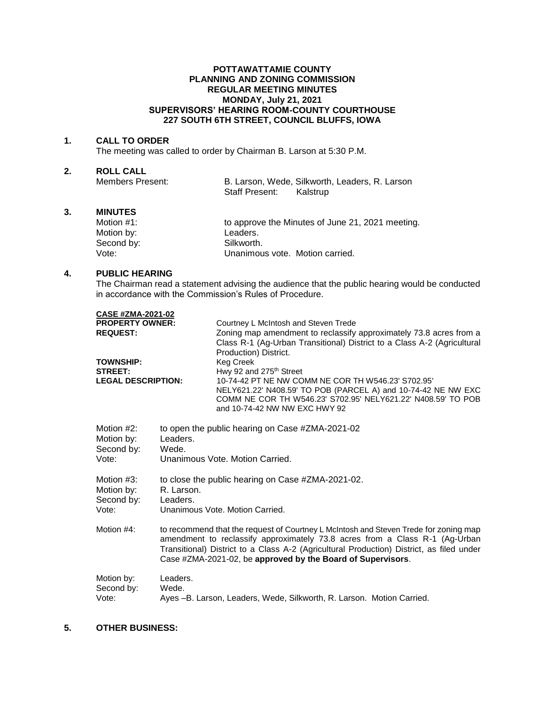## **POTTAWATTAMIE COUNTY PLANNING AND ZONING COMMISSION REGULAR MEETING MINUTES MONDAY, July 21, 2021 SUPERVISORS' HEARING ROOM-COUNTY COURTHOUSE 227 SOUTH 6TH STREET, COUNCIL BLUFFS, IOWA**

#### **1. CALL TO ORDER**

The meeting was called to order by Chairman B. Larson at 5:30 P.M.

# **2. ROLL CALL**

| Members Present: |                | B. Larson, Wede, Silkworth, Leaders, R. Larson |
|------------------|----------------|------------------------------------------------|
|                  | Staff Present: | Kalstrup                                       |

# **3. MINUTES**

| Motion #1: | to approve the Minutes of June 21, 2021 meeting. |
|------------|--------------------------------------------------|
| Motion by: | Leaders.                                         |
| Second by: | Silkworth.                                       |
| Vote:      | Unanimous vote. Motion carried.                  |

## **4. PUBLIC HEARING**

The Chairman read a statement advising the audience that the public hearing would be conducted in accordance with the Commission's Rules of Procedure.

| <b>CASE #ZMA-2021-02</b>                                                        |                                                                                                                                                                                                                                                                                                                                |  |
|---------------------------------------------------------------------------------|--------------------------------------------------------------------------------------------------------------------------------------------------------------------------------------------------------------------------------------------------------------------------------------------------------------------------------|--|
| <b>PROPERTY OWNER:</b><br><b>REQUEST:</b><br><b>TOWNSHIP:</b><br><b>STREET:</b> | Courtney L McIntosh and Steven Trede<br>Zoning map amendment to reclassify approximately 73.8 acres from a<br>Class R-1 (Ag-Urban Transitional) District to a Class A-2 (Agricultural<br>Production) District.<br><b>Keg Creek</b><br>Hwy 92 and 275 <sup>th</sup> Street                                                      |  |
| <b>LEGAL DESCRIPTION:</b>                                                       | 10-74-42 PT NE NW COMM NE COR TH W546.23' S702.95'<br>NELY621.22' N408.59' TO POB (PARCEL A) and 10-74-42 NE NW EXC<br>COMM NE COR TH W546.23' S702.95' NELY621.22' N408.59' TO POB<br>and 10-74-42 NW NW EXC HWY 92                                                                                                           |  |
| Motion #2:<br>Motion by:<br>Second by:<br>Vote:                                 | to open the public hearing on Case #ZMA-2021-02<br>Leaders.<br>Wede.<br>Unanimous Vote, Motion Carried.                                                                                                                                                                                                                        |  |
| Motion #3:<br>Motion by:<br>Second by:<br>Vote:                                 | to close the public hearing on Case #ZMA-2021-02.<br>R. Larson.<br>Leaders.<br>Unanimous Vote, Motion Carried.                                                                                                                                                                                                                 |  |
| Motion #4:                                                                      | to recommend that the request of Courtney L McIntosh and Steven Trede for zoning map<br>amendment to reclassify approximately 73.8 acres from a Class R-1 (Ag-Urban<br>Transitional) District to a Class A-2 (Agricultural Production) District, as filed under<br>Case #ZMA-2021-02, be approved by the Board of Supervisors. |  |
| Motion by:<br>Second by:<br>Vote:                                               | Leaders.<br>Wede.<br>Ayes -B. Larson, Leaders, Wede, Silkworth, R. Larson. Motion Carried.                                                                                                                                                                                                                                     |  |

## **5. OTHER BUSINESS:**